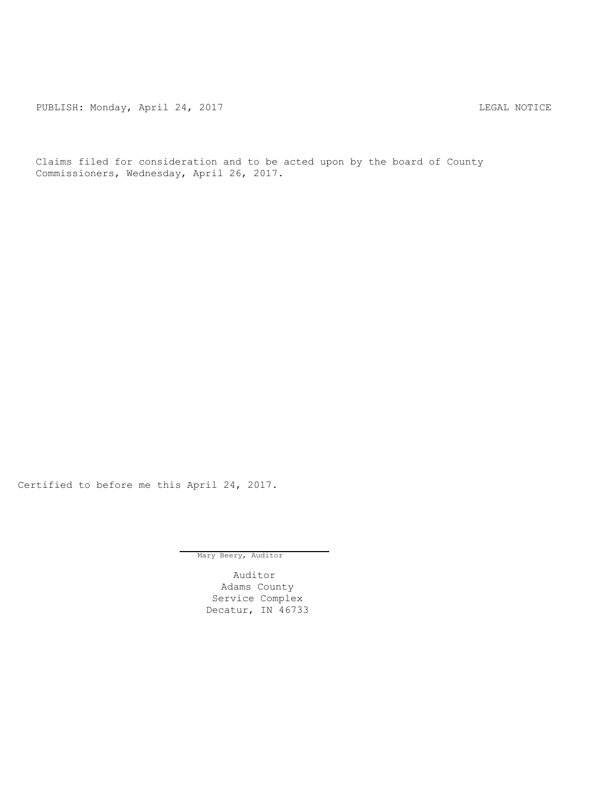PUBLISH: Monday, April 24, 2017 CHANGER AND THE MOTICE

Claims filed for consideration and to be acted upon by the board of County Commissioners, Wednesday, April 26, 2017.

Certified to before me this April 24, 2017.

Mary Beery, Auditor

Auditor Adams County Service Complex Decatur, IN 46733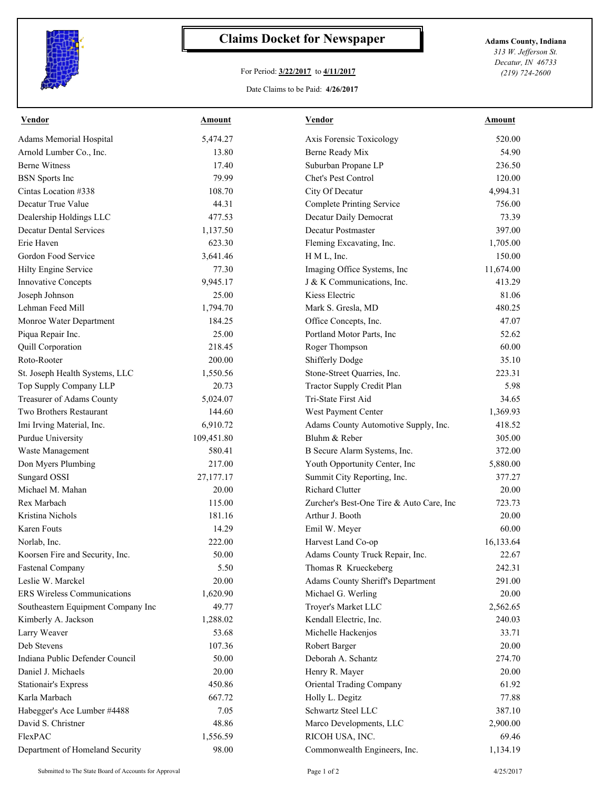

## **Claims Docket for Newspaper Adams County, Indiana**

## For Period: **3/22/2017** to **4/11/2017**

Date Claims to be Paid: **4/26/2017**

*313 W. Jefferson St. Decatur, IN 46733 (219) 724-2600*

| <b>Vendor</b>                      | Amount     | Vendor                                   | Amount    |
|------------------------------------|------------|------------------------------------------|-----------|
| Adams Memorial Hospital            | 5,474.27   | Axis Forensic Toxicology                 | 520.00    |
| Arnold Lumber Co., Inc.            | 13.80      | Berne Ready Mix                          | 54.90     |
| <b>Berne Witness</b>               | 17.40      | Suburban Propane LP                      | 236.50    |
| <b>BSN</b> Sports Inc              | 79.99      | Chet's Pest Control                      | 120.00    |
| Cintas Location #338               | 108.70     | City Of Decatur                          | 4,994.31  |
| Decatur True Value                 | 44.31      | <b>Complete Printing Service</b>         | 756.00    |
| Dealership Holdings LLC            | 477.53     | Decatur Daily Democrat                   | 73.39     |
| <b>Decatur Dental Services</b>     | 1,137.50   | Decatur Postmaster                       | 397.00    |
| Erie Haven                         | 623.30     | Fleming Excavating, Inc.                 | 1,705.00  |
| Gordon Food Service                | 3,641.46   | H M L, Inc.                              | 150.00    |
| Hilty Engine Service               | 77.30      | Imaging Office Systems, Inc              | 11,674.00 |
| Innovative Concepts                | 9,945.17   | J & K Communications, Inc.               | 413.29    |
| Joseph Johnson                     | 25.00      | Kiess Electric                           | 81.06     |
| Lehman Feed Mill                   | 1,794.70   | Mark S. Gresla, MD                       | 480.25    |
| Monroe Water Department            | 184.25     | Office Concepts, Inc.                    | 47.07     |
| Piqua Repair Inc.                  | 25.00      | Portland Motor Parts, Inc                | 52.62     |
| Quill Corporation                  | 218.45     | Roger Thompson                           | 60.00     |
| Roto-Rooter                        | 200.00     | Shifferly Dodge                          | 35.10     |
| St. Joseph Health Systems, LLC     | 1,550.56   | Stone-Street Quarries, Inc.              | 223.31    |
| Top Supply Company LLP             | 20.73      | Tractor Supply Credit Plan               | 5.98      |
| Treasurer of Adams County          | 5,024.07   | Tri-State First Aid                      | 34.65     |
| Two Brothers Restaurant            | 144.60     | West Payment Center                      | 1,369.93  |
| Imi Irving Material, Inc.          | 6,910.72   | Adams County Automotive Supply, Inc.     | 418.52    |
| Purdue University                  | 109,451.80 | Bluhm & Reber                            | 305.00    |
| Waste Management                   | 580.41     | B Secure Alarm Systems, Inc.             | 372.00    |
| Don Myers Plumbing                 | 217.00     | Youth Opportunity Center, Inc            | 5,880.00  |
| Sungard OSSI                       | 27,177.17  | Summit City Reporting, Inc.              | 377.27    |
| Michael M. Mahan                   | 20.00      | <b>Richard Clutter</b>                   | 20.00     |
| Rex Marbach                        | 115.00     | Zurcher's Best-One Tire & Auto Care, Inc | 723.73    |
| Kristina Nichols                   | 181.16     | Arthur J. Booth                          | 20.00     |
| <b>Karen Fouts</b>                 | 14.29      | Emil W. Meyer                            | 60.00     |
| Norlab, Inc.                       | 222.00     | Harvest Land Co-op                       | 16,133.64 |
| Koorsen Fire and Security, Inc.    | 50.00      | Adams County Truck Repair, Inc.          | 22.67     |
| <b>Fastenal Company</b>            | 5.50       | Thomas R Krueckeberg                     | 242.31    |
| Leslie W. Marckel                  | 20.00      | Adams County Sheriff's Department        | 291.00    |
| <b>ERS Wireless Communications</b> | 1,620.90   | Michael G. Werling                       | 20.00     |
| Southeastern Equipment Company Inc | 49.77      | Troyer's Market LLC                      | 2,562.65  |
| Kimberly A. Jackson                | 1,288.02   | Kendall Electric, Inc.                   | 240.03    |
| Larry Weaver                       | 53.68      | Michelle Hackenjos                       | 33.71     |
| Deb Stevens                        | 107.36     | Robert Barger                            | 20.00     |
| Indiana Public Defender Council    | 50.00      | Deborah A. Schantz                       | 274.70    |
| Daniel J. Michaels                 | 20.00      | Henry R. Mayer                           | 20.00     |
| <b>Stationair's Express</b>        | 450.86     | Oriental Trading Company                 | 61.92     |
| Karla Marbach                      | 667.72     | Holly L. Degitz                          | 77.88     |
| Habegger's Ace Lumber #4488        | 7.05       | Schwartz Steel LLC                       | 387.10    |
| David S. Christner                 | 48.86      | Marco Developments, LLC                  | 2,900.00  |
| FlexPAC                            | 1,556.59   | RICOH USA, INC.                          | 69.46     |
|                                    |            |                                          |           |